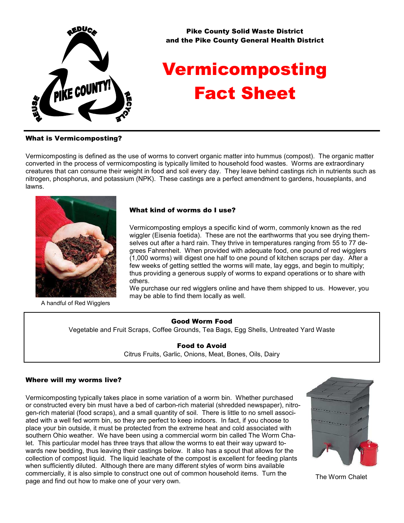

Pike County Solid Waste District and the Pike County General Health District

# Vermicomposting Fact Sheet

### What is Vermicomposting?

Vermicomposting is defined as the use of worms to convert organic matter into hummus (compost). The organic matter converted in the process of vermicomposting is typically limited to household food wastes. Worms are extraordinary creatures that can consume their weight in food and soil every day. They leave behind castings rich in nutrients such as nitrogen, phosphorus, and potassium (NPK). These castings are a perfect amendment to gardens, houseplants, and lawns.



A handful of Red Wigglers

#### What kind of worms do I use?

Vermicomposting employs a specific kind of worm, commonly known as the red wiggler (Eisenia foetida). These are not the earthworms that you see drying themselves out after a hard rain. They thrive in temperatures ranging from 55 to 77 degrees Fahrenheit. When provided with adequate food, one pound of red wigglers (1,000 worms) will digest one half to one pound of kitchen scraps per day. After a few weeks of getting settled the worms will mate, lay eggs, and begin to multiply; thus providing a generous supply of worms to expand operations or to share with others.

We purchase our red wigglers online and have them shipped to us. However, you may be able to find them locally as well.

### Good Worm Food

Vegetable and Fruit Scraps, Coffee Grounds, Tea Bags, Egg Shells, Untreated Yard Waste

Food to Avoid Citrus Fruits, Garlic, Onions, Meat, Bones, Oils, Dairy

### Where will my worms live?

Vermicomposting typically takes place in some variation of a worm bin. Whether purchased or constructed every bin must have a bed of carbon-rich material (shredded newspaper), nitrogen-rich material (food scraps), and a small quantity of soil. There is little to no smell associated with a well fed worm bin, so they are perfect to keep indoors. In fact, if you choose to place your bin outside, it must be protected from the extreme heat and cold associated with southern Ohio weather. We have been using a commercial worm bin called The Worm Chalet. This particular model has three trays that allow the worms to eat their way upward towards new bedding, thus leaving their castings below. It also has a spout that allows for the collection of compost liquid. The liquid leachate of the compost is excellent for feeding plants when sufficiently diluted. Although there are many different styles of worm bins available commercially, it is also simple to construct one out of common household items. Turn the page and find out how to make one of your very own.



The Worm Chalet